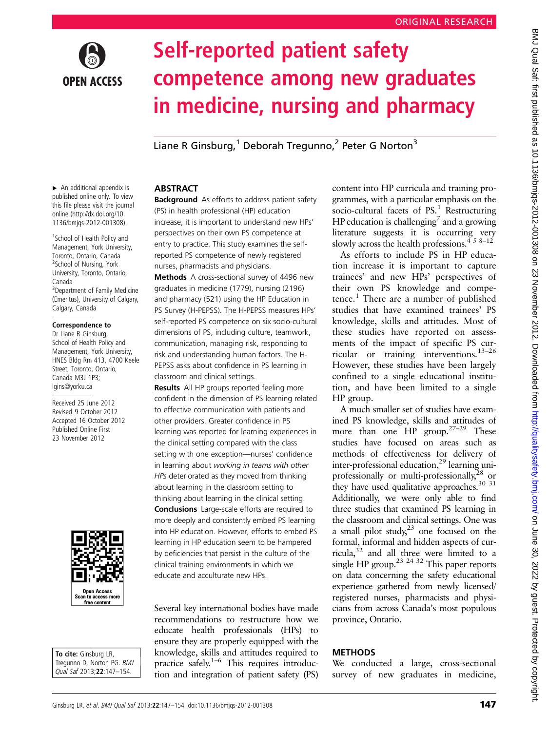

# Self-reported patient safety competence among new graduates in medicine, nursing and pharmacy

Liane R Ginsburg,<sup>1</sup> Deborah Tregunno,<sup>2</sup> Peter G Norton<sup>3</sup>

# **ABSTRACT**

**Background** As efforts to address patient safety (PS) in health professional (HP) education increase, it is important to understand new HPs' perspectives on their own PS competence at entry to practice. This study examines the selfreported PS competence of newly registered nurses, pharmacists and physicians.

Methods A cross-sectional survey of 4496 new graduates in medicine (1779), nursing (2196) and pharmacy (521) using the HP Education in PS Survey (H-PEPSS). The H-PEPSS measures HPs' self-reported PS competence on six socio-cultural dimensions of PS, including culture, teamwork, communication, managing risk, responding to risk and understanding human factors. The H-PEPSS asks about confidence in PS learning in classroom and clinical settings.

Results All HP groups reported feeling more confident in the dimension of PS learning related to effective communication with patients and other providers. Greater confidence in PS learning was reported for learning experiences in the clinical setting compared with the class setting with one exception—nurses' confidence in learning about working in teams with other HPs deteriorated as they moved from thinking about learning in the classroom setting to thinking about learning in the clinical setting. Conclusions Large-scale efforts are required to more deeply and consistently embed PS learning into HP education. However, efforts to embed PS learning in HP education seem to be hampered by deficiencies that persist in the culture of the clinical training environments in which we educate and acculturate new HPs.

Several key international bodies have made recommendations to restructure how we educate health professionals (HPs) to ensure they are properly equipped with the knowledge, skills and attitudes required to practice safely. $1-6$  This requires introduction and integration of patient safety (PS)

content into HP curricula and training programmes, with a particular emphasis on the socio-cultural facets of  $PS<sup>1</sup>$  Restructuring HP education is challenging<sup>7</sup> and a growing literature suggests it is occurring very slowly across the health professions.<sup>458–12</sup>

As efforts to include PS in HP education increase it is important to capture trainees' and new HPs' perspectives of their own PS knowledge and competence.<sup>1</sup> There are a number of published studies that have examined trainees' PS knowledge, skills and attitudes. Most of these studies have reported on assessments of the impact of specific PS curricular or training interventions.13–<sup>26</sup> However, these studies have been largely confined to a single educational institution, and have been limited to a single HP group.

A much smaller set of studies have examined PS knowledge, skills and attitudes of more than one HP group.<sup>27-29</sup> These studies have focused on areas such as methods of effectiveness for delivery of inter-professional education,<sup>29</sup> learning uniprofessionally or multi-professionally,<sup>28</sup> or they have used qualitative approaches.<sup>30</sup> <sup>31</sup> Additionally, we were only able to find three studies that examined PS learning in the classroom and clinical settings. One was a small pilot study, $2^3$  one focused on the formal, informal and hidden aspects of curricula,32 and all three were limited to a single HP group.<sup>23 24 32</sup> This paper reports on data concerning the safety educational experience gathered from newly licensed/ registered nurses, pharmacists and physicians from across Canada's most populous province, Ontario.

# METHODS

We conducted a large, cross-sectional survey of new graduates in medicine,

 $\blacktriangleright$  An additional appendix is published online only. To view this file please visit the journal online ([http://dx.doi.org/10.](http://dx.doi.org/10.1136/bmjqs-2012-001308) [1136/bmjqs-2012-001308\)](http://dx.doi.org/10.1136/bmjqs-2012-001308).

<sup>1</sup>School of Health Policy and Management, York University Toronto, Ontario, Canada <sup>2</sup>School of Nursing, York University, Toronto, Ontario, Canada <sup>3</sup>Department of Family Medicine (Emeritus), University of Calgary, Calgary, Canada

#### Correspondence to

Dr Liane R Ginsburg, School of Health Policy and Management, York University, HNES Bldg Rm 413, 4700 Keele Street, Toronto, Ontario, Canada M3J 1P3; lgins@yorku.ca

Received 25 June 2012 Revised 9 October 2012 Accepted 16 October 2012 Published Online First 23 November 2012



To cite: Ginsburg LR, Tregunno D, Norton PG. BMJ Qual Saf 2013;22:147–154.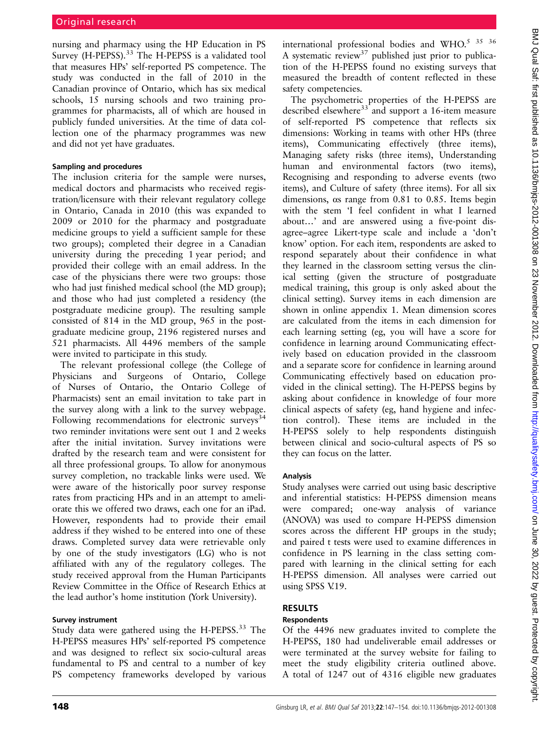nursing and pharmacy using the HP Education in PS Survey (H-PEPSS).<sup>33</sup> The H-PEPSS is a validated tool that measures HPs' self-reported PS competence. The study was conducted in the fall of 2010 in the Canadian province of Ontario, which has six medical schools, 15 nursing schools and two training programmes for pharmacists, all of which are housed in publicly funded universities. At the time of data collection one of the pharmacy programmes was new and did not yet have graduates.

#### Sampling and procedures

The inclusion criteria for the sample were nurses, medical doctors and pharmacists who received registration/licensure with their relevant regulatory college in Ontario, Canada in 2010 (this was expanded to 2009 or 2010 for the pharmacy and postgraduate medicine groups to yield a sufficient sample for these two groups); completed their degree in a Canadian university during the preceding 1 year period; and provided their college with an email address. In the case of the physicians there were two groups: those who had just finished medical school (the MD group); and those who had just completed a residency (the postgraduate medicine group). The resulting sample consisted of 814 in the MD group, 965 in the postgraduate medicine group, 2196 registered nurses and 521 pharmacists. All 4496 members of the sample were invited to participate in this study.

The relevant professional college (the College of Physicians and Surgeons of Ontario, College of Nurses of Ontario, the Ontario College of Pharmacists) sent an email invitation to take part in the survey along with a link to the survey webpage. Following recommendations for electronic surveys $34$ two reminder invitations were sent out 1 and 2 weeks after the initial invitation. Survey invitations were drafted by the research team and were consistent for all three professional groups. To allow for anonymous survey completion, no trackable links were used. We were aware of the historically poor survey response rates from practicing HPs and in an attempt to ameliorate this we offered two draws, each one for an iPad. However, respondents had to provide their email address if they wished to be entered into one of these draws. Completed survey data were retrievable only by one of the study investigators (LG) who is not affiliated with any of the regulatory colleges. The study received approval from the Human Participants Review Committee in the Office of Research Ethics at the lead author's home institution (York University).

#### Survey instrument

Study data were gathered using the H-PEPSS.<sup>33</sup> The H-PEPSS measures HPs' self-reported PS competence and was designed to reflect six socio-cultural areas fundamental to PS and central to a number of key PS competency frameworks developed by various international professional bodies and WHO.<sup>5</sup> 35 36 A systematic review<sup>37</sup> published just prior to publication of the H-PEPSS found no existing surveys that measured the breadth of content reflected in these safety competencies.

The psychometric properties of the H-PEPSS are described elsewhere<sup>33</sup> and support a 16-item measure of self-reported PS competence that reflects six dimensions: Working in teams with other HPs (three items), Communicating effectively (three items), Managing safety risks (three items), Understanding human and environmental factors (two items), Recognising and responding to adverse events (two items), and Culture of safety (three items). For all six dimensions, αs range from 0.81 to 0.85. Items begin with the stem 'I feel confident in what I learned about…' and are answered using a five-point disagree–agree Likert-type scale and include a 'don't know' option. For each item, respondents are asked to respond separately about their confidence in what they learned in the classroom setting versus the clinical setting (given the structure of postgraduate medical training, this group is only asked about the clinical setting). Survey items in each dimension are shown in online appendix 1. Mean dimension scores are calculated from the items in each dimension for each learning setting (eg, you will have a score for confidence in learning around Communicating effectively based on education provided in the classroom and a separate score for confidence in learning around Communicating effectively based on education provided in the clinical setting). The H-PEPSS begins by asking about confidence in knowledge of four more clinical aspects of safety (eg, hand hygiene and infection control). These items are included in the H-PEPSS solely to help respondents distinguish between clinical and socio-cultural aspects of PS so they can focus on the latter.

# Analysis

Study analyses were carried out using basic descriptive and inferential statistics: H-PEPSS dimension means were compared; one-way analysis of variance (ANOVA) was used to compare H-PEPSS dimension scores across the different HP groups in the study; and paired t tests were used to examine differences in confidence in PS learning in the class setting compared with learning in the clinical setting for each H-PEPSS dimension. All analyses were carried out using SPSS V.19.

# RESULTS

# Respondents

Of the 4496 new graduates invited to complete the H-PEPSS, 180 had undeliverable email addresses or were terminated at the survey website for failing to meet the study eligibility criteria outlined above. A total of 1247 out of 4316 eligible new graduates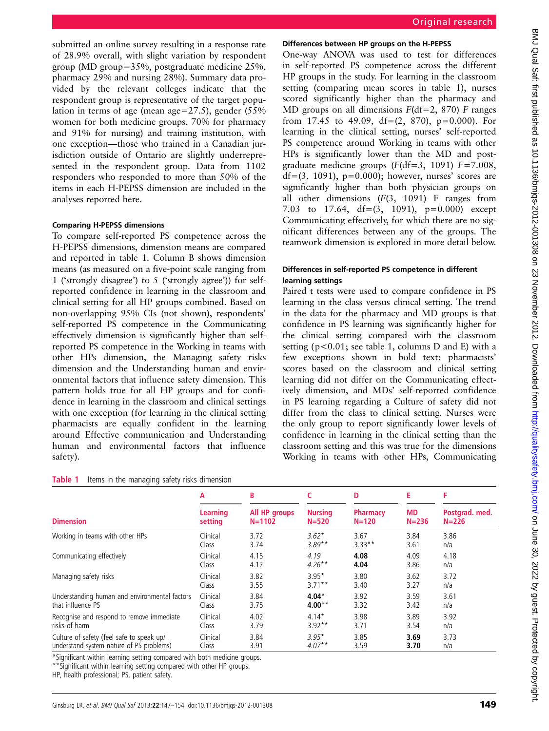submitted an online survey resulting in a response rate of 28.9% overall, with slight variation by respondent group (MD group=35%, postgraduate medicine 25%, pharmacy 29% and nursing 28%). Summary data provided by the relevant colleges indicate that the respondent group is representative of the target population in terms of age (mean age= $27.5$ ), gender ( $55\%$ ) women for both medicine groups, 70% for pharmacy and 91% for nursing) and training institution, with one exception—those who trained in a Canadian jurisdiction outside of Ontario are slightly underrepresented in the respondent group. Data from 1102 responders who responded to more than 50% of the items in each H-PEPSS dimension are included in the analyses reported here.

# Comparing H-PEPSS dimensions

To compare self-reported PS competence across the H-PEPSS dimensions, dimension means are compared and reported in table 1. Column B shows dimension means (as measured on a five-point scale ranging from 1 ('strongly disagree') to 5 ('strongly agree')) for selfreported confidence in learning in the classroom and clinical setting for all HP groups combined. Based on non-overlapping 95% CIs (not shown), respondents' self-reported PS competence in the Communicating effectively dimension is significantly higher than selfreported PS competence in the Working in teams with other HPs dimension, the Managing safety risks dimension and the Understanding human and environmental factors that influence safety dimension. This pattern holds true for all HP groups and for confidence in learning in the classroom and clinical settings with one exception (for learning in the clinical setting pharmacists are equally confident in the learning around Effective communication and Understanding human and environmental factors that influence safety).

**Table 1** Items in the managing safety risks dimension

# Differences between HP groups on the H-PEPSS

One-way ANOVA was used to test for differences in self-reported PS competence across the different HP groups in the study. For learning in the classroom setting (comparing mean scores in table 1), nurses scored significantly higher than the pharmacy and MD groups on all dimensions  $F(df=2, 870)$  F ranges from 17.45 to 49.09,  $df=(2, 870)$ ,  $p=0.000$ ). For learning in the clinical setting, nurses' self-reported PS competence around Working in teams with other HPs is significantly lower than the MD and postgraduate medicine groups ( $F(df=3, 1091)$   $F=7.008$ ,  $df=(3, 1091)$ ,  $p=0.000$ ; however, nurses' scores are significantly higher than both physician groups on all other dimensions  $(F(3, 1091)$  F ranges from 7.03 to 17.64, df=(3, 1091), p=0.000) except Communicating effectively, for which there are no significant differences between any of the groups. The teamwork dimension is explored in more detail below.

# Differences in self-reported PS competence in different learning settings

Paired t tests were used to compare confidence in PS learning in the class versus clinical setting. The trend in the data for the pharmacy and MD groups is that confidence in PS learning was significantly higher for the clinical setting compared with the classroom setting  $(p<0.01$ ; see table 1, columns D and E) with a few exceptions shown in bold text: pharmacists' scores based on the classroom and clinical setting learning did not differ on the Communicating effectively dimension, and MDs' self-reported confidence in PS learning regarding a Culture of safety did not differ from the class to clinical setting. Nurses were the only group to report significantly lower levels of confidence in learning in the clinical setting than the classroom setting and this was true for the dimensions Working in teams with other HPs, Communicating

| <b>Dimension</b>                              | A                          | B                           | c                           | D                            | Е<br><b>MD</b><br>$N = 236$ | F                           |  |
|-----------------------------------------------|----------------------------|-----------------------------|-----------------------------|------------------------------|-----------------------------|-----------------------------|--|
|                                               | <b>Learning</b><br>setting | All HP groups<br>$N = 1102$ | <b>Nursing</b><br>$N = 520$ | <b>Pharmacy</b><br>$N = 120$ |                             | Postgrad. med.<br>$N = 226$ |  |
| Working in teams with other HPs               | Clinical                   | 3.72                        | $3.62*$                     | 3.67                         | 3.84                        | 3.86                        |  |
|                                               | Class                      | 3.74                        | $3.89**$                    | $3.33**$                     | 3.61                        | n/a                         |  |
| Communicating effectively                     | Clinical                   | 4.15                        | 4.19                        | 4.08                         | 4.09                        | 4.18                        |  |
|                                               | Class                      | 4.12                        | $4.26***$                   | 4.04                         | 3.86                        | n/a                         |  |
| Managing safety risks                         | Clinical                   | 3.82                        | $3.95*$                     | 3.80                         | 3.62                        | 3.72                        |  |
|                                               | Class                      | 3.55                        | $3.71***$                   | 3.40                         | 3.27                        | n/a                         |  |
| Understanding human and environmental factors | Clinical                   | 3.84                        | $4.04*$                     | 3.92                         | 3.59                        | 3.61                        |  |
| that influence PS                             | Class                      | 3.75                        | $4.00**$                    | 3.32                         | 3.42                        | n/a                         |  |
| Recognise and respond to remove immediate     | Clinical                   | 4.02                        | $4.14*$                     | 3.98                         | 3.89                        | 3.92                        |  |
| risks of harm                                 | Class                      | 3.79                        | $3.92**$                    | 3.71                         | 3.54                        | n/a                         |  |
| Culture of safety (feel safe to speak up/     | Clinical                   | 3.84                        | $3.95*$                     | 3.85                         | 3.69                        | 3.73                        |  |
| understand system nature of PS problems)      | Class                      | 3.91                        | $4.07**$                    | 3.59                         | 3.70                        | n/a                         |  |

\*Significant within learning setting compared with both medicine groups.

\*\*Significant within learning setting compared with other HP groups.

HP, health professional; PS, patient safety.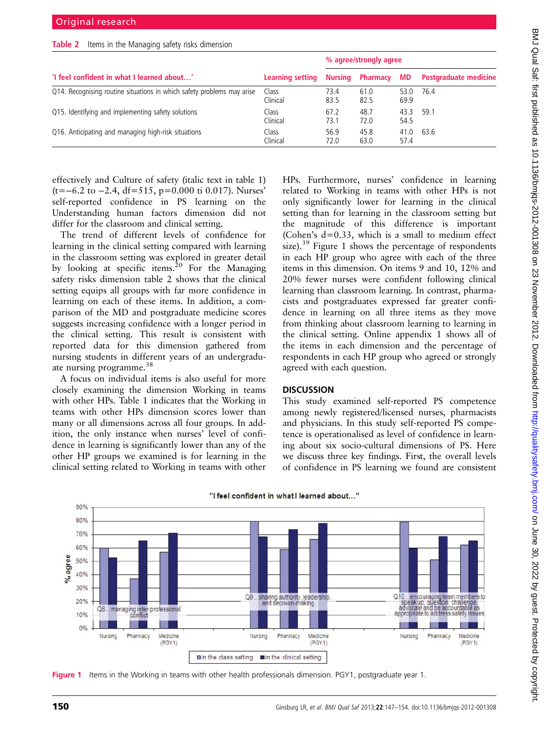|                                                                        |                   | % agree/strongly agree  |              |              |                              |  |
|------------------------------------------------------------------------|-------------------|-------------------------|--------------|--------------|------------------------------|--|
| 'I feel confident in what I learned about'                             | Learning setting  | <b>Nursing Pharmacy</b> |              | MD           | <b>Postgraduate medicine</b> |  |
| Q14. Recognising routine situations in which safety problems may arise | Class<br>Clinical | 73.4<br>83.5            | 61.0<br>82.5 | 69.9         | 53.0 76.4                    |  |
| Q15. Identifying and implementing safety solutions                     | Class<br>Clinical | 67.2<br>73.1            | 48.7<br>72.0 | 43.3<br>54.5 | 59.1                         |  |
| Q16. Anticipating and managing high-risk situations                    | Class<br>Clinical | 56.9<br>72.0            | 45.8<br>63.0 | 41.0<br>57.4 | 63.6                         |  |

effectively and Culture of safety (italic text in table 1) (t=−6.2 to −2.4, df=515, p=0.000 ti 0.017). Nurses' self-reported confidence in PS learning on the Understanding human factors dimension did not differ for the classroom and clinical setting.

The trend of different levels of confidence for learning in the clinical setting compared with learning in the classroom setting was explored in greater detail by looking at specific items.<sup>20</sup> For the Managing safety risks dimension table 2 shows that the clinical setting equips all groups with far more confidence in learning on each of these items. In addition, a comparison of the MD and postgraduate medicine scores suggests increasing confidence with a longer period in the clinical setting. This result is consistent with reported data for this dimension gathered from nursing students in different years of an undergraduate nursing programme.<sup>38</sup>

A focus on individual items is also useful for more closely examining the dimension Working in teams with other HPs. Table 1 indicates that the Working in teams with other HPs dimension scores lower than many or all dimensions across all four groups. In addition, the only instance when nurses' level of confidence in learning is significantly lower than any of the other HP groups we examined is for learning in the clinical setting related to Working in teams with other

HPs. Furthermore, nurses' confidence in learning related to Working in teams with other HPs is not only significantly lower for learning in the clinical setting than for learning in the classroom setting but the magnitude of this difference is important (Cohen's  $d=0.33$ , which is a small to medium effect size).<sup>39</sup> Figure 1 shows the percentage of respondents in each HP group who agree with each of the three items in this dimension. On items 9 and 10, 12% and 20% fewer nurses were confident following clinical learning than classroom learning. In contrast, pharmacists and postgraduates expressed far greater confidence in learning on all three items as they move from thinking about classroom learning to learning in the clinical setting. Online appendix 1 shows all of the items in each dimension and the percentage of respondents in each HP group who agreed or strongly agreed with each question.

#### **DISCUSSION**

This study examined self-reported PS competence among newly registered/licensed nurses, pharmacists and physicians. In this study self-reported PS competence is operationalised as level of confidence in learning about six socio-cultural dimensions of PS. Here we discuss three key findings. First, the overall levels of confidence in PS learning we found are consistent



**Figure 1** Items in the Working in teams with other health professionals dimension. PGY1, postgraduate year 1.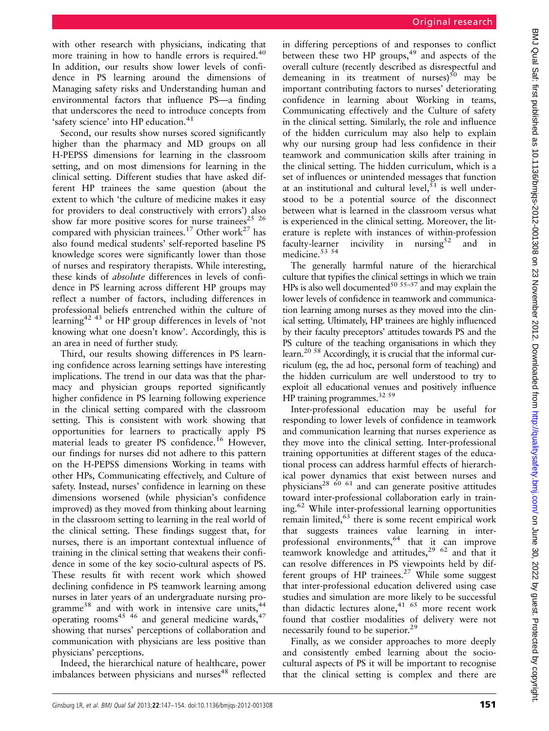with other research with physicians, indicating that more training in how to handle errors is required.<sup>40</sup> In addition, our results show lower levels of confidence in PS learning around the dimensions of Managing safety risks and Understanding human and environmental factors that influence PS—a finding that underscores the need to introduce concepts from 'safety science' into HP education.<sup>41</sup>

Second, our results show nurses scored significantly higher than the pharmacy and MD groups on all H-PEPSS dimensions for learning in the classroom setting, and on most dimensions for learning in the clinical setting. Different studies that have asked different HP trainees the same question (about the extent to which 'the culture of medicine makes it easy for providers to deal constructively with errors') also show far more positive scores for nurse trainees<sup>25 26</sup> compared with physician trainees.<sup>17</sup> Other work<sup>27</sup> has also found medical students' self-reported baseline PS knowledge scores were significantly lower than those of nurses and respiratory therapists. While interesting, these kinds of absolute differences in levels of confidence in PS learning across different HP groups may reflect a number of factors, including differences in professional beliefs entrenched within the culture of learning42 43 or HP group differences in levels of 'not knowing what one doesn't know'. Accordingly, this is an area in need of further study.

Third, our results showing differences in PS learning confidence across learning settings have interesting implications. The trend in our data was that the pharmacy and physician groups reported significantly higher confidence in PS learning following experience in the clinical setting compared with the classroom setting. This is consistent with work showing that opportunities for learners to practically apply PS material leads to greater PS confidence.<sup>16</sup> However, our findings for nurses did not adhere to this pattern on the H-PEPSS dimensions Working in teams with other HPs, Communicating effectively, and Culture of safety. Instead, nurses' confidence in learning on these dimensions worsened (while physician's confidence improved) as they moved from thinking about learning in the classroom setting to learning in the real world of the clinical setting. These findings suggest that, for nurses, there is an important contextual influence of training in the clinical setting that weakens their confidence in some of the key socio-cultural aspects of PS. These results fit with recent work which showed declining confidence in PS teamwork learning among nurses in later years of an undergraduate nursing programme<sup>38</sup> and with work in intensive care units,<sup>44</sup> operating rooms $45 \times 46$  and general medicine wards,  $47$ showing that nurses' perceptions of collaboration and communication with physicians are less positive than physicians' perceptions.

Indeed, the hierarchical nature of healthcare, power imbalances between physicians and nurses<sup>48</sup> reflected

in differing perceptions of and responses to conflict between these two HP groups, $49$  and aspects of the overall culture (recently described as disrespectful and demeaning in its treatment of nurses) $50$  may be important contributing factors to nurses' deteriorating confidence in learning about Working in teams, Communicating effectively and the Culture of safety in the clinical setting. Similarly, the role and influence of the hidden curriculum may also help to explain why our nursing group had less confidence in their teamwork and communication skills after training in the clinical setting. The hidden curriculum, which is a set of influences or unintended messages that function at an institutional and cultural level,  $\overline{s}$ <sup>1</sup> is well understood to be a potential source of the disconnect between what is learned in the classroom versus what is experienced in the clinical setting. Moreover, the literature is replete with instances of within-profession faculty-learner incivility in nursing<sup>52</sup> and in medicine.<sup>53</sup> 54

The generally harmful nature of the hierarchical culture that typifies the clinical settings in which we train HPs is also well documented<sup>50 55–57</sup> and may explain the lower levels of confidence in teamwork and communication learning among nurses as they moved into the clinical setting. Ultimately, HP trainees are highly influenced by their faculty preceptors' attitudes towards PS and the PS culture of the teaching organisations in which they learn.<sup>20 58</sup> Accordingly, it is crucial that the informal curriculum (eg, the ad hoc, personal form of teaching) and the hidden curriculum are well understood to try to exploit all educational venues and positively influence HP training programmes.<sup>32 59</sup>

Inter-professional education may be useful for responding to lower levels of confidence in teamwork and communication learning that nurses experience as they move into the clinical setting. Inter-professional training opportunities at different stages of the educational process can address harmful effects of hierarchical power dynamics that exist between nurses and physicians28 60 61 and can generate positive attitudes toward inter-professional collaboration early in training.<sup>62</sup> While inter-professional learning opportunities remain limited, $63$  there is some recent empirical work that suggests trainees value learning in interprofessional environments,<sup>64</sup> that it can improve teamwork knowledge and attitudes, $29/62$  and that it can resolve differences in PS viewpoints held by different groups of HP trainees. $27$  While some suggest that inter-professional education delivered using case studies and simulation are more likely to be successful than didactic lectures alone, $41/65$  more recent work found that costlier modalities of delivery were not necessarily found to be superior.<sup>29</sup>

Finally, as we consider approaches to more deeply and consistently embed learning about the sociocultural aspects of PS it will be important to recognise that the clinical setting is complex and there are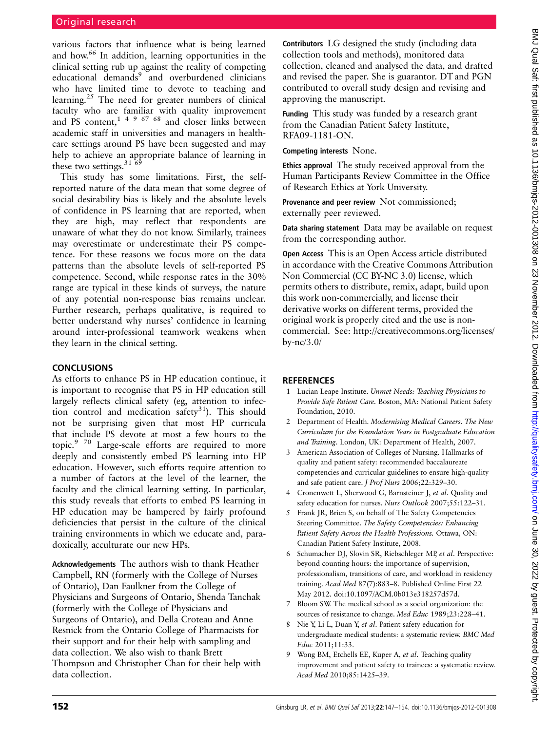# Original research

various factors that influence what is being learned and how.66 In addition, learning opportunities in the clinical setting rub up against the reality of competing educational demands<sup>9</sup> and overburdened clinicians who have limited time to devote to teaching and learning.<sup>25</sup> The need for greater numbers of clinical faculty who are familiar with quality improvement and PS content,  $1^{496768}$  and closer links between academic staff in universities and managers in healthcare settings around PS have been suggested and may help to achieve an appropriate balance of learning in these two settings.  $31\overline{69}$ 

This study has some limitations. First, the selfreported nature of the data mean that some degree of social desirability bias is likely and the absolute levels of confidence in PS learning that are reported, when they are high, may reflect that respondents are unaware of what they do not know. Similarly, trainees may overestimate or underestimate their PS competence. For these reasons we focus more on the data patterns than the absolute levels of self-reported PS competence. Second, while response rates in the 30% range are typical in these kinds of surveys, the nature of any potential non-response bias remains unclear. Further research, perhaps qualitative, is required to better understand why nurses' confidence in learning around inter-professional teamwork weakens when they learn in the clinical setting.

#### **CONCLUSIONS**

As efforts to enhance PS in HP education continue, it is important to recognise that PS in HP education still largely reflects clinical safety (eg, attention to infection control and medication safety<sup>31</sup>). This should not be surprising given that most HP curricula that include PS devote at most a few hours to the topic.9 70 Large-scale efforts are required to more deeply and consistently embed PS learning into HP education. However, such efforts require attention to a number of factors at the level of the learner, the faculty and the clinical learning setting. In particular, this study reveals that efforts to embed PS learning in HP education may be hampered by fairly profound deficiencies that persist in the culture of the clinical training environments in which we educate and, paradoxically, acculturate our new HPs.

Acknowledgements The authors wish to thank Heather Campbell, RN (formerly with the College of Nurses of Ontario), Dan Faulkner from the College of Physicians and Surgeons of Ontario, Shenda Tanchak (formerly with the College of Physicians and Surgeons of Ontario), and Della Croteau and Anne Resnick from the Ontario College of Pharmacists for their support and for their help with sampling and data collection. We also wish to thank Brett Thompson and Christopher Chan for their help with data collection.

Contributors LG designed the study (including data collection tools and methods), monitored data collection, cleaned and analysed the data, and drafted and revised the paper. She is guarantor. DT and PGN contributed to overall study design and revising and approving the manuscript.

Funding This study was funded by a research grant from the Canadian Patient Safety Institute, RFA09-1181-ON.

#### Competing interests None.

Ethics approval The study received approval from the Human Participants Review Committee in the Office of Research Ethics at York University.

Provenance and peer review Not commissioned; externally peer reviewed.

Data sharing statement Data may be available on request from the corresponding author.

Open Access This is an Open Access article distributed in accordance with the Creative Commons Attribution Non Commercial (CC BY-NC 3.0) license, which permits others to distribute, remix, adapt, build upon this work non-commercially, and license their derivative works on different terms, provided the original work is properly cited and the use is noncommercial. See: http://creativecommons.org/licenses/ by-nc/3.0/

#### **REFERENCES**

- 1 Lucian Leape Institute. Unmet Needs: Teaching Physicians to Provide Safe Patient Care. Boston, MA: National Patient Safety Foundation, 2010.
- 2 Department of Health. Modernising Medical Careers. The New Curriculum for the Foundation Years in Postgraduate Education and Training. London, UK: Department of Health, 2007.
- 3 American Association of Colleges of Nursing. Hallmarks of quality and patient safety: recommended baccalaureate competencies and curricular guidelines to ensure high-quality and safe patient care. J Prof Nurs 2006;22:329–30.
- 4 Cronenwett L, Sherwood G, Barnsteiner J, et al. Quality and safety education for nurses. Nurs Outlook 2007;55:122-31.
- 5 Frank JR, Brien S, on behalf of The Safety Competencies Steering Committee. The Safety Competencies: Enhancing Patient Safety Across the Health Professions. Ottawa, ON: Canadian Patient Safety Institute, 2008.
- 6 Schumacher DJ, Slovin SR, Riebschleger MP, et al. Perspective: beyond counting hours: the importance of supervision, professionalism, transitions of care, and workload in residency training. Acad Med 87(7):883–8. Published Online First 22 May 2012. doi:[10.1097/ACM.0b013e318257d57d.](http://dx.doi.org/10.1097/ACM.0b013e318257d57d)
- 7 Bloom SW. The medical school as a social organization: the sources of resistance to change. Med Educ 1989;23:228–41.
- 8 Nie Y, Li L, Duan Y, et al. Patient safety education for undergraduate medical students: a systematic review. BMC Med Educ 2011;11:33.
- 9 Wong BM, Etchells EE, Kuper A, et al. Teaching quality improvement and patient safety to trainees: a systematic review. Acad Med 2010;85:1425–39.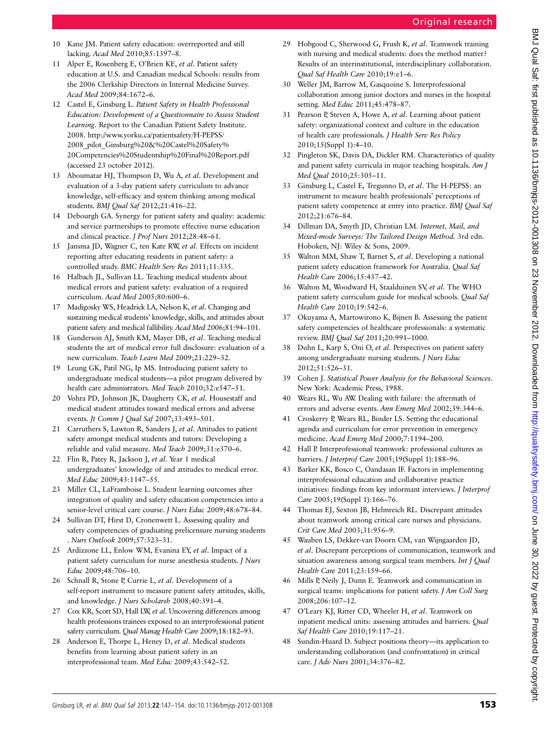- 10 Kane JM. Patient safety education: overreported and still lacking. Acad Med 2010;85:1397–8.
- 11 Alper E, Rosenberg E, O'Brien KE, et al. Patient safety education at U.S. and Canadian medical Schools: results from the 2006 Clerkship Directors in Internal Medicine Survey. Acad Med 2009;84:1672–6.
- 12 Castel E, Ginsburg L. Patient Safety in Health Professional Education: Development of a Questionnaire to Assess Student Learning. Report to the Canadian Patient Safety Institute. 2008. [http://www.yorku.ca/patientsafety/H-PEPSS/](http://www.yorku.ca/patientsafety/H-PEPSS/2008_pilot_Ginsburg%20&%20Castel%20Safety%20Competencies%20Studentship%20Final%20Report.pdf) [2008\\_pilot\\_Ginsburg%20&%20Castel%20Safety%](http://www.yorku.ca/patientsafety/H-PEPSS/2008_pilot_Ginsburg%20&%20Castel%20Safety%20Competencies%20Studentship%20Final%20Report.pdf) [20Competencies%20Studentship%20Final%20Report.pdf](http://www.yorku.ca/patientsafety/H-PEPSS/2008_pilot_Ginsburg%20&%20Castel%20Safety%20Competencies%20Studentship%20Final%20Report.pdf) (accessed 23 october 2012).
- 13 Aboumatar HJ, Thompson D, Wu A, et al. Development and evaluation of a 3-day patient safety curriculum to advance knowledge, self-efficacy and system thinking among medical students. BMJ Qual Saf 2012;21:416–22.
- 14 Debourgh GA. Synergy for patient safety and quality: academic and service partnerships to promote effective nurse education and clinical practice. J Prof Nurs 2012;28:48–61.
- 15 Jansma JD, Wagner C, ten Kate RW, et al. Effects on incident reporting after educating residents in patient safety: a controlled study. BMC Health Serv Res 2011;11:335.
- 16 Halbach JL, Sullivan LL. Teaching medical students about medical errors and patient safety: evaluation of a required curriculum. Acad Med 2005;80:600–6.
- 17 Madigosky WS, Headrick LA, Nelson K, et al. Changing and sustaining medical students' knowledge, skills, and attitudes about patient safety and medical fallibility. Acad Med 2006;81:94–101.
- 18 Gunderson AJ, Smith KM, Mayer DB, et al. Teaching medical students the art of medical error full disclosure: evaluation of a new curriculum. Teach Learn Med 2009;21:229–32.
- 19 Leung GK, Patil NG, Ip MS. Introducing patient safety to undergraduate medical students—a pilot program delivered by health care administrators. Med Teach 2010;32:e547–51.
- 20 Vohra PD, Johnson JK, Daugherty CK, et al. Housestaff and medical student attitudes toward medical errors and adverse events. *Jt Comm J Qual Saf 2007*;33:493-501.
- 21 Carruthers S, Lawton R, Sanders J, et al. Attitudes to patient safety amongst medical students and tutors: Developing a reliable and valid measure. Med Teach 2009;31:e370–6.
- 22 Flin R, Patey R, Jackson J, et al. Year 1 medical undergraduates' knowledge of and attitudes to medical error. Med Educ 2009;43:1147–55.
- 23 Miller CL, LaFramboise L. Student learning outcomes after integration of quality and safety education competencies into a senior-level critical care course. J Nurs Educ 2009;48:678-84.
- 24 Sullivan DT, Hirst D, Cronenwett L. Assessing quality and safety competencies of graduating prelicensure nursing students . Nurs Outlook 2009;57:323–31.
- 25 Ardizzone LL, Enlow WM, Evanina EY, et al. Impact of a patient safety curriculum for nurse anesthesia students. *J Nurs* Educ 2009;48:706–10.
- 26 Schnall R, Stone P, Currie L, et al. Development of a self-report instrument to measure patient safety attitudes, skills, and knowledge. J Nurs Scholarsh 2008;40:391–4.
- 27 Cox KR, Scott SD, Hall LW, et al. Uncovering differences among health professions trainees exposed to an interprofessional patient safety curriculum. Oual Manag Health Care 2009;18:182-93.
- 28 Anderson E, Thorpe L, Heney D, et al. Medical students benefits from learning about patient safety in an interprofessional team. Med Educ 2009;43:542–52.
- 29 Hobgood C, Sherwood G, Frush K, et al. Teamwork training with nursing and medical students: does the method matter? Results of an interinstitutional, interdisciplinary collaboration. Qual Saf Health Care 2010;19:e1–6.
- 30 Weller JM, Barrow M, Gasquoine S. Interprofessional collaboration among junior doctors and nurses in the hospital setting. Med Educ 2011;45:478–87.
- 31 Pearson P, Steven A, Howe A, et al. Learning about patient safety: organizational context and culture in the education of health care professionals. J Health Serv Res Policy 2010;15(Suppl 1):4–10.
- 32 Pingleton SK, Davis DA, Dickler RM. Characteristics of quality and patient safety curricula in major teaching hospitals. Am J Med Qual 2010;25:305–11.
- 33 Ginsburg L, Castel E, Tregunno D, et al. The H-PEPSS: an instrument to measure health professionals' perceptions of patient safety competence at entry into practice. BMJ Qual Saf 2012;21:676–84.
- 34 Dillman DA, Smyth JD, Christian LM. Internet, Mail, and Mixed-mode Surveys: The Tailored Design Method. 3rd edn. Hoboken, NJ: Wiley & Sons, 2009.
- 35 Walton MM, Shaw T, Barnet S, et al. Developing a national patient safety education framework for Australia. Qual Saf Health Care 2006;15:437–42.
- 36 Walton M, Woodward H, Staalduinen SV, et al. The WHO patient safety curriculum guide for medical schools. Qual Saf Health Care 2010;19:542–6.
- 37 Okuyama A, Martowirono K, Bijnen B. Assessing the patient safety competencies of healthcare professionals: a systematic review. BMJ Qual Saf 2011;20:991–1000.
- 38 Duhn L, Karp S, Oni O, et al. Perspectives on patient safety among undergraduate nursing students. J Nurs Educ 2012;51:526–31.
- 39 Cohen J. Statistical Power Analysis for the Behavioral Sciences. New York: Academic Press, 1988.
- 40 Wears RL, Wu AW. Dealing with failure: the aftermath of errors and adverse events. Ann Emerg Med 2002;39:344–6.
- 41 Croskerry P, Wears RL, Binder LS. Setting the educational agenda and curriculum for error prevention in emergency medicine. Acad Emerg Med 2000;7:1194–200.
- 42 Hall P. Interprofessional teamwork: professional cultures as barriers. J Interprof Care 2005;19(Suppl 1):188–96.
- 43 Barker KK, Bosco C, Oandasan IF. Factors in implementing interprofessional education and collaborative practice initiatives: findings from key informant interviews. J Interprof Care 2005;19(Suppl 1):166–76.
- 44 Thomas EJ, Sexton JB, Helmreich RL. Discrepant attitudes about teamwork among critical care nurses and physicians. Crit Care Med 2003;31:956–9.
- 45 Wauben LS, Dekker-van Doorn CM, van Wijngaarden JD, et al. Discrepant perceptions of communication, teamwork and situation awareness among surgical team members. Int J Qual Health Care 2011;23:159–66.
- 46 Mills P, Neily J, Dunn E. Teamwork and communication in surgical teams: implications for patient safety. J Am Coll Surg 2008;206:107–12.
- 47 O'Leary KJ, Ritter CD, Wheeler H, et al. Teamwork on inpatient medical units: assessing attitudes and barriers. Qual Saf Health Care 2010;19:117–21.
- 48 Sundin-Huard D. Subject positions theory—its application to understanding collaboration (and confrontation) in critical care. J Adv Nurs 2001;34:376–82.